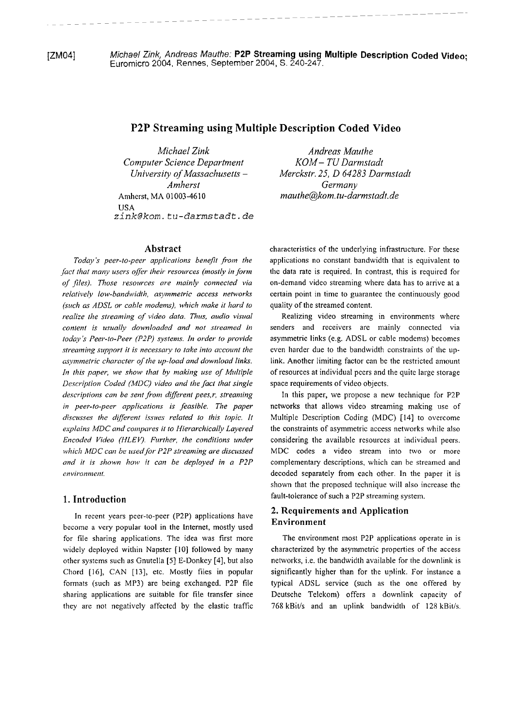**[ZM04]** 

Michael Zink, Andreas Mauthe: P2P Streaming using Multiple Description Coded Video; Euromicro 2004, Rennes, September 2004, S. 240-247.

# P2P Streaming using Multiple Description Coded Video

Michael Zink **Computer Science Department** University of Massachusetts -Amherst Amherst, MA 01003-4610 **USA** zink@kom.tu-darmstadt.de

## Abstract

Today's peer-to-peer applications benefit from the fact that many users offer their resources (mostly in form of files). Those resources are mainly connected via relatively low-bandwidth, asymmetric access networks (such as ADSL or cable modems), which make it hard to realize the streaming of video data. Thus, audio visual content is usually downloaded and not streamed in today's Peer-to-Peer (P2P) systems. In order to provide streaming support it is necessary to take into account the asymmetric character of the up-load and download links. In this paper, we show that by making use of Multiple Description Coded (MDC) video and the fact that single descriptions can be sent from different pees,r, streaming in peer-to-peer applications is feasible. The paper discusses the different issues related to this topic. It explains MDC and compares it to Hierarchically Layered Encoded Video (HLEV). Further, the conditions under which MDC can be used for P2P streaming are discussed and it is shown how it can be deployed in a P2P environment.

# 1. Introduction

In recent years peer-to-peer (P2P) applications have become a very popular tool in the Internet, mostly used for file sharing applications. The idea was first more widely deployed within Napster [10] followed by many other systems such as Gnutella [5] E-Donkey [4], but also Chord [16], CAN [13], etc. Mostly files in popular formats (such as MP3) are being exchanged. P2P file sharing applications are suitable for file transfer since they are not negatively affected by the elastic traffic

**Andreas Mauthe** KOM - TU Darmstadt Merckstr. 25, D 64283 Darmstadt Germany mauthe@kom.tu-darmstadt.de

characteristics of the underlying infrastructure. For these applications no constant bandwidth that is equivalent to the data rate is required. In contrast, this is required for on-demand video streaming where data has to arrive at a certain point in time to guarantee the continuously good quality of the streamed content.

Realizing video streaming in environments where senders and receivers are mainly connected via asymmetric links (e.g. ADSL or cable modems) becomes even harder due to the bandwidth constraints of the uplink. Another limiting factor can be the restricted amount of resources at individual peers and the quite large storage space requirements of video objects.

In this paper, we propose a new technique for P2P networks that allows video streaming making use of Multiple Description Coding (MDC) [14] to overcome the constraints of asymmetric access networks while also considering the available resources at individual peers. MDC codes a video stream into two or more complementary descriptions, which can be streamed and decoded separately from each other. In the paper it is shown that the proposed technique will also increase the fault-tolerance of such a P2P streaming system.

# 2. Requirements and Application Environment

The environment most P2P applications operate in is characterized by the asymmetric properties of the access networks, i.e. the bandwidth available for the downlink is significantly higher than for the uplink. For instance a typical ADSL service (such as the one offered by Deutsche Telekom) offers a downlink capacity of 768 kBit/s and an uplink bandwidth of 128 kBit/s.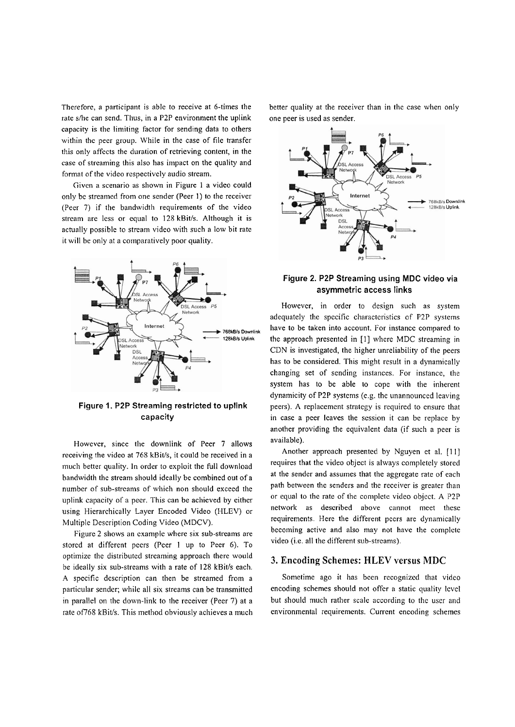Therefore, a participant is ablc to receive at 6-times the rate s/he can send. Thus, in a P2P environment the uplink capacity is the limiting factor for sending data to others within the peer group. While in the case of file transfer this only affects the duration of retrieving content, in the case of streaming this also has impact on the quality and format of the video respectively audio stream.

Givcn a scenario as shown in Figure 1 a video could only be streamed from one sender (Peer 1) to the receiver (Peer 7) if the bandwidth requirements of the video stream are less or equal to 128 kBit/s. Although it is actually possible to stream video with such a low bit rate it will be only at a comparatively poor quality.



**Figure I. P2P Streaming restricted to uplink capacity** 

However, since the downlink of Peer 7 allows receiving the video at 768 kBit/s, it could be received in a much better quality. In order to exploit the full download bandwidth the stream should ideally be combined out of a number of sub-streams of which non should exceed the uplink capacity of a peer. This can be achieved by either using Hierarchically Layer Encoded Video (HLEV) or Multiple Description Coding Video (MDCV).

Figure 2 shows an example where six sub-streams are stored at different pecrs (Peer **1** up to Peer 6). To optimize the distributed streaming approach there would be ideally six sub-streams with a rate of 128 kBit/s each. A specific description can then be streamed from a particular sender; while all six streams can be transmitted in parallel on the down-link to the receiver (Peer 7) at a rate of 768 kBit/s. This method obviously achieves a much

better quality at the receiver than in the case when only one peer is used as sender.



## **Figure 2. P2P Streaming using MDC video via asymmetric access links**

However, in order to design such as system adequately the specific characteristics of P2P systems have to be taken into account. For instance compared to the approach presented in [1] where MDC streaming in CDN is investigated, the higher unreliability of the peers has to be considered. This might result in a dynamically changing set of sending instances. For instance, the system has to be able to cope with the inherent dynamicity of P2P systems (e.g. the unannounced leaving peers). A replacement strategy is required to ensure that in case a peer leaves the session it can be replace by another providing the equivalent data (if such a peer is available).

Another approach presented by Nguyen et al. [11] requires that the video object is always completely stored at the sender and assumes that the aggregate rate of each path between the senders and the receiver is greater than or equal to the rate of the complete video object. A P2P network as described above cannot meet these requirements. Here the different pcers are dynamically becoming active and also may not have the complete video (i.e. all the different sub-streams).

### **3. Encoding Schemes: HLEV versus MDC**

Sometime ago it has been recognized that video encoding schemes should not offer a static quality level but should much rather scale according to the user and environmental requirements. Current encoding schemes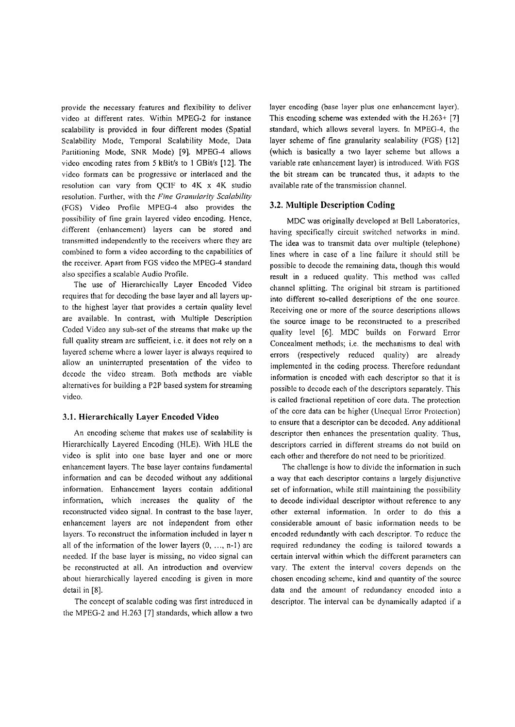provide the necessary features and flexibility to deliver video at different rates. Within MPEG-2 for instance scalability is provided in four different modes (Spatial Scalability Mode, Temporal Scalability Mode, Data Partitioning Mode, SNR Mode) [9]. MPEG-4 allows video encoding rates from 5 kBit/s to 1 GBit/s [12]. The video formats can be progressive or interlaced and the rcsolution can vary from QCIF to 4K x 4K studio resolution. Further, with the *Fine Granularity Scalability* (FGS) Video Profile MPEG-4 also provides the possibility of fine grain layered video encoding. Hence, different (enliancement) layers can be stored and transmitted independently to the receivers where they are combined to form a video according to the capabilities of the receiver. Apart from FGS video the MPEG-4 standard also specifies a scalable Audio Profile.

The use of Hierarchically Layer Encoded Video requires that for decoding the base layer and all layers upto the highest layer that provides a certain quality level are available. In contrast, with Multiple Description Coded Video any sub-set of the streams that make up the full quality stream are sufficient, i.e. it does not rely on a layered scheme where a lower layer is always required to allow an uninterrupted presentation of the video to decode the video stream. Both methods are viable alternatives for building a P2P based system for streaming video.

### 3.1. Hierarchically Layer Encoded Video

An encoding scheme that makes use of scalability is Hierarchically Layered Encoding (HLE). With HLE the video is split into one base layer and one or more enhancement layers. The base layer contains fundamental information and can be decoded without any additional information. Enhancement layers contain additional information, which increases the quality of the reconstructed video signal. In contrast to the base layer, enhancement layers are not independent from other layers. To reconstruct the information included in layer n all of the information of the lower layers  $(0, \ldots, n-1)$  are needed. If the base layer is missing, no video signal can be reconstructed at all. An introduction and overview about hierarchically layered encoding is given in more detail in [8].

The concept of scalable coding was first introduced in the MPEG-2 and H.263  $[7]$  standards, which allow a two

layer encoding (base layer plus one enhancement layer). This encoding scheme was extended with the H.263+ [7] standard, which allows several layers. In MPEG-4, the layer scheme of fine granularity scalability (FGS) **[I21**  (which is basically a two layer scheme but allows a variable rate enhancement layer) is introduced. With FGS the bit stream can be truncated thus, it adapts to the available rate of the transmission channel.

# **3.2.** Multiple Description Coding

MDC was originally developed at Bell Laboratorics, having specifically circuit switched networks in mind. The idea was to transmit data over multiple (telephone) lines where in case of a line failure it should still be possible to decode the remaining data, though this would result in a reduced quality. This method was called channel splitting. The original bit stream is partitioned into different so-called descriptions of the one source. Receiving one or more of the source descriptions allows the source image to be reconstructed to a prescribed quality level [6]. MDC builds on Forward Error Concealment methods; i.e. the mechanisms to deal with errors (respectively reduced quality) are already implemented in the coding process. Therefore redundant information is encoded with each descriptor so that it is possible to decode each of the descriptors separately. This is called fractional repetition of core data. The protection of the core data can be higher (Unequal Error Protection) to ensure that a descriptor can be decoded. Any additional descriptor then enhances the presentation quality. Thus, descriptors carried in different streams do not build on each other and therefore do not need to be prioritized.

The challenge is how to divide the information in such a way that each descriptor contains a largely disjunctive set of information, while still maintaining the possibility to decode individual descriptor without reference to any other external information. In order to do this a considerable amount of basic information needs to be encoded redundantly with each descriptor. To reduce the required redundancy the coding is tailored towards a certain interval within which the different parameters can vary. The extent the interval covers depends on the chosen encoding scheme, kind and quantity of the source data and the amount of redundancy encoded into a descriptor. The interval can be dynamically adapted if a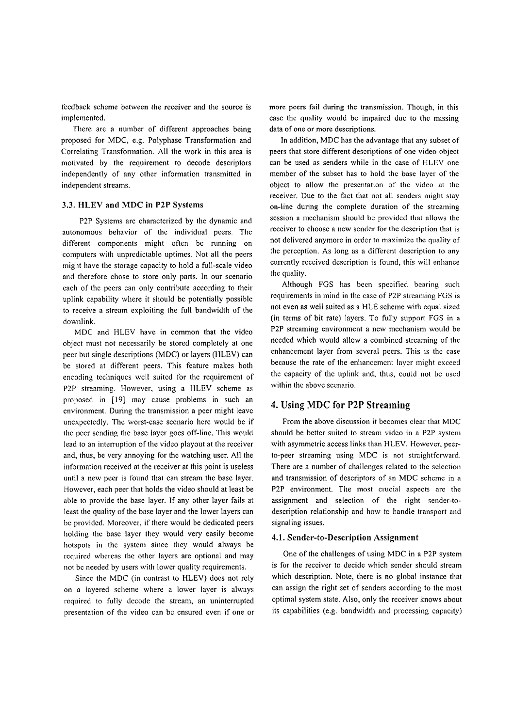feedback scheme between the receiver and the source is implemented.

There are a number of different approaches being proposed for MDC, e.g. Polyphase Transformation and Correlating Transformation. All the work in this area is motivated by the requirement to decode descriptors independently of any other information transmitted in independent streams.

## **3.3. HLEV and MDC in P2P** Systems

P2P Systems are characterized by the dynamic and autonomous behavior of the individual peers. The different components might often be running on computers with unpredictable uptimes. Not all the peers might have the storage capacity to hold a full-scale video and therefore chose to store only parts. In our scenario each of the peers can only contribute according to their uplink capability where it should be potentially possible to receive a strcam cxploiting the füll bandwidth of the downlink.

MDC and HLEV have in common that the video object must not necessarily be stored completely at one peer but single descriptions (MDC) or layers (HLEV) can be stored at different peers. This feature makes both encoding techniques well suited for the requirement of P2P streaming. However, using a HLEV scheme as proposed in [19] may cause problems in such an environment. During the transmission a peer might leave unexpectedly. The worst-case scenario here would be if the pecr sending the base layer goes off-line. This would lead to an interruption of the video playout at the receiver and, thus, be very annoying for the watching user. All the information received at the receiver at tliis point is useless until a new peer is found that can stream the base layer. However, eacli peer that holds the video should at least be able to provide the base layer. If any other layer fails at least the quality of the base layer and the lower layers can bc provided. Moreover, if there would be dedicated peers holding the base layer they would very easily become hotspots in the system since they would always be required whereas the other layers are optional and may not be needed by users with lower quality requirements.

Sincc the MDC (in contrast to HLEV) does not rely on a layered scheme where a lower layer is always required to fully decode the stream, an uninterrupted presentation of the video can be ensured even if one or more peers fail during the transmission. Though, in this case the quality would be impaired due to the missing data of one or more descriptions.

In addition, MDC has the advantage that any subset of peers that store different descriptions of onc video object can be used as senders while in thc case of HLEV one member of the subset has to hold the base layer of the object to allow the presentation of the video at the receiver. Due to the fact that not all senders might stay on-line during the complete duration of the streaming session a mechanism should be provided that allows the receiver to choose a new sender for the description that is not delivered anymore in order to maximize the quality of the perception. As long as a different description to any currently received description is found, this will enhance the quality.

Although FGS has been specified bearing such requirements in mind in the case of P2P streaming FGS is not even as well suited as a HLE scheme with equal sized (in terms of bit rate) layers. To fully Support FGS in a P2P streaming environment a new mechanism would be needed which would allow a combined streaming of the enhancement layer from several peers. This is the case because the rate of the enliancemcnt layer might exceed the capacity of the uplink and, thus, could not be used within the above scenario.

## **4. Using MDC for P2P Streaming**

From the above discussion it becomes clear that MDC should be better suited to stream video in a P2P system with asymmetric access links than HLEV. However, peerto-peer streaming using MDC is not straightforward. There are a number of challenges related to the sclcction and transmission of descriptors of an MDC schcme in a P2P environment. The most crucial aspects are the assignment and selection of the right sender-todescription relationship and how to handle transport and signaling issues.

#### **4.1. Sender-to-Description Assignment**

One of the challenges of using MDC in a P2P system is for the receiver to decide which sender should stream which description. Note, there is no global instance that can assign the right set of senders according to the most optimal system state. Also, only the receiver knows about its capabilities (e.g. bandwidth and processing capacity)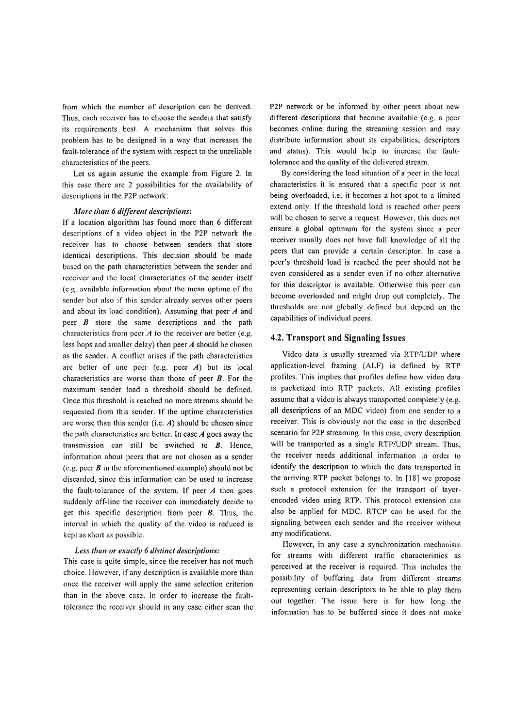from which the number of description can be derived. Thus, each receiver has to choose the senders that satisfy its requirements best. A mechanism that solves this problem has to be designed in a way that increases the fault-tolerance of the system with respect to the unreliable characteristics of the peers.

Let us again assume the example from Figure 2. In this case there are 2 possibilities for the availability of descriptions in the P2P network:

#### More than 6 different descriptions:

If a location algorithm has found more than 6 different descriptions of a video object in the P2P network the receiver has to choose between senders that store identical descriptions. This decision should be made based on the path characteristics between the sender and receiver and the local characteristics of the sender itself  $(e.g.$  available information about the mean uptime of the sender but also if this sender already serves other peers and about its load condition). Assuming that peer **A** and peer  $\boldsymbol{B}$  store the same descriptions and the path characteristics from peer  $A$  to the receiver are better (e.g. less hops and smaller delay) then peer  $A$  should be chosen as the sender. A conflict arises if the path characteristics are better of one peer (e.g. peer  $A$ ) but its local characteristics are worse than those of peer  $B$ . For the maximum sender load a threshold should be defined. Once this threshold is reached no more streams should be requested from this sender. If the uptime characteristics are worse than this sender (i.e. A) should be chosen since the path characteristics are better. In case  $A$  goes away the transmission can still be switched to  $B$ . Hence, information about peers that are not chosen as a sender (e.g. peer  $B$  in the aforementioned example) should not be discarded, since this information can be used to increase the fault-tolerance of the system. If peer  $A$  then goes suddenly off-line the receiver can immediately decide to get this specific description from peer  $\bm{B}$ . Thus, the interval in which the quality of the video is reduced is kept as short as possible.

#### Less than or exactly 6 distinct descriptions:

This case is quite simple, since the receiver has not much choice. However, if any description is available more than once the receiver will apply the same selection criterion than in the above case. In order to increase the faulttolerance the receiver should in any case either scan the P2P network or be informed by other peers about new different descriptions that become available (e.g. a peer becomes online during the streaming session and may distribute information about its capabilities, descriptors and status). This would help to increase the faulttolerance and the quality of the delivered stream.

By considering the load situation of a pecr in the local characteristics it is ensured that a specific peer is not being overloaded, i.e. it becomes a hot spot to a limited extend only. If the threshold load is reached other peers will be chosen to serve a request. However, this does not ensure a global optimum for the system since a peer receiver usually does not have full knowledge of all the peers that can provide a certain descriptor. In case a peer's threshold load is reached the peer should not be even considered as a sender even if no other alternative for this descriptor is available. Otherwise this peer can become overloaded and might drop out completely. The thresholds are not globally defined but depend on the capabilities of individual peers.

### **4.2. Transport and Signaling Issues**

Video data is usually streamed via RTP/UDP where application-levcl frarning (ALF) is defincd by RTP profiles. This implies that profiles define how video data is packetized into RTP packcts. All existing profiles assume that a video is always transported completely (e.g. all descriptions of an MDC video) from one sender to a receiver. This is obviously not the case in the described scenario for P2P streaming. In this case, every description will be transported as a single RTP/UDP stream. Thus, the receiver needs additional information in order to identify the description to which the data transported in the arriving RTP packet belongs to. In [18] we propose such a protocol extension for the transport of layerencoded video using RTP. This protocol extension can also be applied for MDC. RTCP can be used for the signaling between each sender and the receiver without any modifications.

However, in any case a synchronization mechanism for streams with different traffic characteristics as perceived at the receiver is required. This includes the possibility of buffering data from different streams representing certain descriptors to be able to play them out together. The issue here is for how long the information has to be buffered since it does not make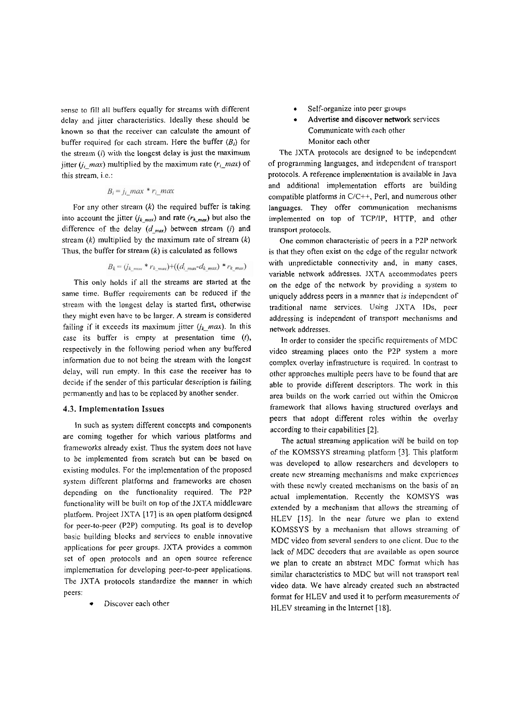sensc to fill all buffers cqually for streams with different delay and jitter characteristics. Ideally these should be known so that the receiver can calculate the amount of buffer required for each stream. Here the buffer *(B<sub>i</sub>)* for the stream (i) with the longest delay is just the maximum jitter  $(i<sub>i</sub> -max)$  multiplied by the maximum rate  $(r<sub>i</sub> -max)$  of this stream, i.e.:

$$
B_i = j_i \quad \text{max} \quad r_i \quad \text{max}
$$

For any other stream  $(k)$  the required buffer is taking into account the jitter  $(i_k_{max})$  and rate  $(r_k_{max})$  but also the difference of the delay  $(d_{max})$  between stream (i) and stream  $(k)$  multiplied by the maximum rate of stream  $(k)$ Thus, the buffer for stream  $(k)$  is calculated as follows

$$
B_k = (j_{k\_max} * r_{k\_max}) + ((d_{i\_max} - d_{k\_max}) * r_{k\_max})
$$

This only holds if all the streams are started at the same time. Buffer requirements can be reduced if the stream with the longcst delay is started first, othenvise they might even have to be larger. A stream is considered failing if it exceeds its maximum jitter  $(j_k \, max)$ . In this case its buffer is empty at presentation time *(t),*  rcspectively in the following period when any buffered information due to not being the stream with the longest delay, will run empty. In this case the receiver has to decide if the sender of this particular description is failing permanently and has to be replaced by another sender.

#### **4.3. Implementation Issues**

In such as system different concepts and components are coming together for which various platforms and frameworks already exist. Thus the system does not have to be implemented from scratch but can be based on existing modules. For the implementation of the proposed system different platforms and frameworks are chosen depending on the functionality required. The P2P functionality will be built on top of the JXTA middleware platform. Project JXTA [17] is an open platform designed for peer-to-peer (P2P) computing. Its goal is to develop basic building blocks and services to enable innovative applications for peer groups. JXTA provides a common set of open protocols and an open source reference implementation for developing peer-to-peer applications. The JXTA protocols standardize the manner in which peers:

Discover each other

- Self-organize into peer groups
- Advertise and discover network services  $\bullet$ Communicate with each other Monitor each other

The JXTA protocols are designed to be independent of prograrnming languages, and independent of transport protocols. A reference implementation is available in Java and additional implementation efforts are building compatible platforms in  $C/C++$ , Perl, and numerous other languages. They offer communication mechanisms implemented on top of TCPIIP, HTTP, and other transport protocois.

One common characteristic of peers in a P2P network is that they often exist on the edge of the regular network with unpredictable connectivity and, in many cases, variable network addresses. JXTA accommodates peers on the edge of the network by providing a system to uniquely address peers in a manner that is independent of traditional name services. Using JXTA IDs, pecr addressing is independent of transport mechanisms and network addresses.

In order to consider the specific requirements of MDC video streaming places onto the P2P system a more complex overlay infrastructure is required. In contrast to other approaches multiple peers have to be found that are able to provide different descriptors. The work in this area builds on the work carried out within the Omicron framework that allows having structured overlays and peers that adopt different roles within the overlay according to their capabilities  $[2]$ .

The actual streaming application will be build on top of the KOMSSYS streaming platform [3]. This platform was developed to allow researchers and developers to create new streaming mechanisms and make experiences with these newly created mechanisms on the basis of an actual implementation. Recently the KOMSYS was extended by a mechanism that allows the streaming of HLEV [15]. In the near future we plan to extend KOMSSYS by a mechanism that allows streaming of MDC video from several senders to one client. Due to the lack of MDC decoders that are available as open source we plan to create an abstract MDC format which has similar characteristics to MDC but will not transport real video data. We have already created such an abstracted format for HLEV and used it to perform measurements of HLEV streaming in the Internet [18].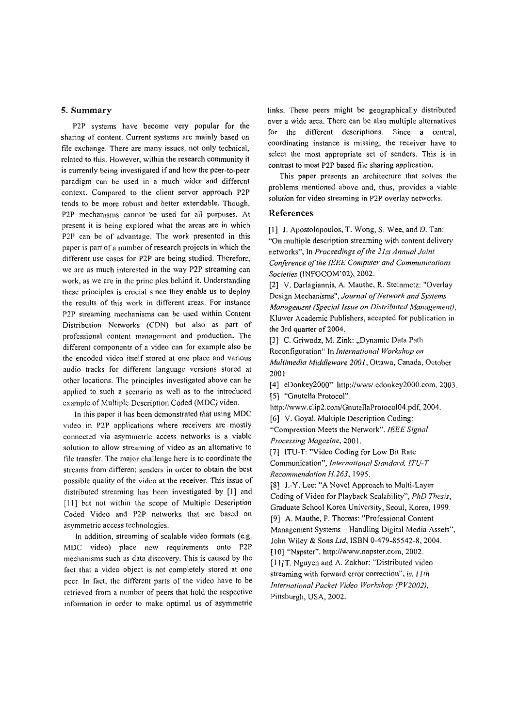## **5. Summary**

P2P systems have become very popular for the sharing of content. Current Systems are mainly based on file exchange. There are many issues, not only technical, related to this. However, within the research community it is currently being investigated if and how the peer-to-peer paradigm can be used in a much wider and different context. Compared to the client server approach P2P tends to be more robust and better extendable. Though, P2P mechanisms cannot be used for all purposes. At present it is being explored what the areas are in which P2P can be of advantage. The work presented in this paper is part of a number of research projects in which the different use cases for P2P are being studied. Therefore, we are as much interested in the way P2P streaming can work, as we are in the principles behind it. Understanding these principles is crucial since they enable us to deploy the results of this work in different areas. For instance P2P streaming mechanisms can be used within Content Distribution Networks (CDN) but also as part of professional content management and production. The different components of a video can for example also be thc encoded video itsclf stored at one place and various audio tracks for different language versions stored at other locations. The principles investigated above can be applied to such a scenario as well as to the introduced example of Multiple Description Coded (MDC) video.

In this paper it has been demonstrated that using MDC video in P2P applications where receivers are mostly connected via asymmetric access networks is a viable solution to allow streaming of video as an alternative to file transfer. The major challenge here is to coordinate the strcarns from different senders in order to obtain the best possible quality of the video at the receiver. This issue of distributed streaming has been investigated by [1] and [11] but not within the scope of Multiple Description Coded Video and P2P networks that are based on asymmetric access technologies.

In addition, streaming of scalable video formats (e.g. MDC video) place new requirements onto P2P mechanisms such as data discovery. This is caused by the fact that a video object is not completely stored at one pccr. In fact, the different parts of the video have to be retrieved from a number of peers that hold the respective information in order to make optimal us of asymmetric links. These peers might be geographically distributed over a wide area. There can be also multiple alternatives for the different descriptions. Since a central, coordinating instance is missing, the receiver have to select the most appropriate set of senders. This is in contrast to most P2P based file sharing application.

This paper presents an architecture that solves the problems inentioned above and, thus, provides a viable solution for video streaming in P2P overlay networks.

# **References**

[1] J. Apostolopoulos, T. Wong, S. Wee, and D. Tan: "On multiple description streaming with content delivery networks", In Proceedings of the 21st Annual Joint *Conference of the IEEE Computer and Communications Societies* (lNFOCOM'02), 2002.

[2] V. Darlagiannis, A. Mauthe, R. Steinmetz: "Overlay Design Mechanisms", *Journal of Network and Systems Management (Special Issue on Distributed Management),* Kluwer Academic Publishers, accepted for publication in the 3rd quarter of 2004.

[3] C. Griwodz, M. Zink: "Dynamic Data Path Reconfiguration" In *International Workshop on Mzillimedia Middleware 2001,* Ottawa, Canada, October 200 1

[4] eDonkey2000". http://www.edonkey2000.com, 2003. [5] "Gnutella Protocol".

**littp:l/www.clip2.com/GnuteIlaProtocol04.pdf,** 2004.

[6] V. Goyal. Multiple Description Coding:

"Compression Meets the Network". *IEEE Signal Processing Magazine,* 200 1 .

[7] ITU-T: "Video Coding for Low Bit Rate Communication", *International Standard*, *ITU-T Recomrnenda/ion H.263,* 1995.

[8] *J.-Y.* Lee: "A Novel Approach to Multi-Layer Coding of Video for Playback Scalability", *PhD Thesis,*  Graduate Scliool Korea University, Seoul, Korea, 1999. [9] A. Mauthe, P. Thomas: "Professional Content

Management Systems - Handling Digital Media Assets", John Wiley & Sons *Ltd*, ISBN 0-479-85542-8, 2004.

[10] "Napster". http://www.napster.com, 2002.

[I I] T. Nguyen and A. Zakhor: "Distributed video streaming with forward error correction", in  $11$ th *lnlernntionol Packe/ Video Workshop (PV2002),*  Pittsburgli, USA, 2002.